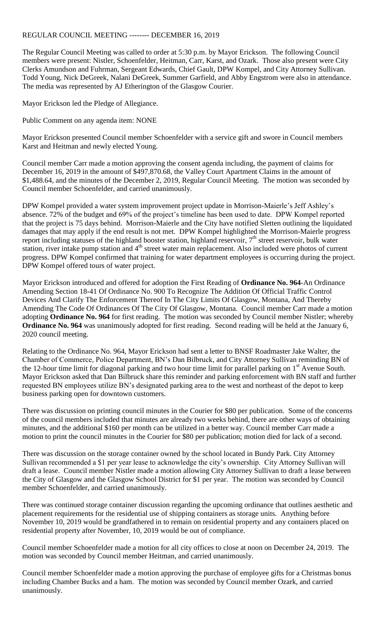## REGULAR COUNCIL MEETING -------- DECEMBER 16, 2019

The Regular Council Meeting was called to order at 5:30 p.m. by Mayor Erickson. The following Council members were present: Nistler, Schoenfelder, Heitman, Carr, Karst, and Ozark. Those also present were City Clerks Amundson and Fuhrman, Sergeant Edwards, Chief Gault, DPW Kompel, and City Attorney Sullivan. Todd Young, Nick DeGreek, Nalani DeGreek, Summer Garfield, and Abby Engstrom were also in attendance. The media was represented by AJ Etherington of the Glasgow Courier.

Mayor Erickson led the Pledge of Allegiance.

Public Comment on any agenda item: NONE

Mayor Erickson presented Council member Schoenfelder with a service gift and swore in Council members Karst and Heitman and newly elected Young.

Council member Carr made a motion approving the consent agenda including, the payment of claims for December 16, 2019 in the amount of \$497,870.68, the Valley Court Apartment Claims in the amount of \$1,488.64, and the minutes of the December 2, 2019, Regular Council Meeting. The motion was seconded by Council member Schoenfelder, and carried unanimously.

DPW Kompel provided a water system improvement project update in Morrison-Maierle's Jeff Ashley's absence. 72% of the budget and 69% of the project's timeline has been used to date. DPW Kompel reported that the project is 75 days behind. Morrison-Maierle and the City have notified Sletten outlining the liquidated damages that may apply if the end result is not met. DPW Kompel highlighted the Morrison-Maierle progress report including statuses of the highland booster station, highland reservoir,  $7<sup>th</sup>$  street reservoir, bulk water station, river intake pump station and 4<sup>th</sup> street water main replacement. Also included were photos of current progress. DPW Kompel confirmed that training for water department employees is occurring during the project. DPW Kompel offered tours of water project.

Mayor Erickson introduced and offered for adoption the First Reading of **Ordinance No. 964**-An Ordinance Amending Section 18-41 Of Ordinance No. 900 To Recognize The Addition Of Official Traffic Control Devices And Clarify The Enforcement Thereof In The City Limits Of Glasgow, Montana, And Thereby Amending The Code Of Ordinances Of The City Of Glasgow, Montana. Council member Carr made a motion adopting **Ordinance No. 964** for first reading. The motion was seconded by Council member Nistler; whereby **Ordinance No. 964** was unanimously adopted for first reading. Second reading will be held at the January 6, 2020 council meeting.

Relating to the Ordinance No. 964, Mayor Erickson had sent a letter to BNSF Roadmaster Jake Walter, the Chamber of Commerce, Police Department, BN's Dan Bilbruck, and City Attorney Sullivan reminding BN of the 12-hour time limit for diagonal parking and two hour time limit for parallel parking on  $1<sup>st</sup>$  Avenue South. Mayor Erickson asked that Dan Bilbruck share this reminder and parking enforcement with BN staff and further requested BN employees utilize BN's designated parking area to the west and northeast of the depot to keep business parking open for downtown customers.

There was discussion on printing council minutes in the Courier for \$80 per publication. Some of the concerns of the council members included that minutes are already two weeks behind, there are other ways of obtaining minutes, and the additional \$160 per month can be utilized in a better way. Council member Carr made a motion to print the council minutes in the Courier for \$80 per publication; motion died for lack of a second.

There was discussion on the storage container owned by the school located in Bundy Park. City Attorney Sullivan recommended a \$1 per year lease to acknowledge the city's ownership. City Attorney Sullivan will draft a lease. Council member Nistler made a motion allowing City Attorney Sullivan to draft a lease between the City of Glasgow and the Glasgow School District for \$1 per year. The motion was seconded by Council member Schoenfelder, and carried unanimously.

There was continued storage container discussion regarding the upcoming ordinance that outlines aesthetic and placement requirements for the residential use of shipping containers as storage units. Anything before November 10, 2019 would be grandfathered in to remain on residential property and any containers placed on residential property after November, 10, 2019 would be out of compliance.

Council member Schoenfelder made a motion for all city offices to close at noon on December 24, 2019. The motion was seconded by Council member Heitman, and carried unanimously.

Council member Schoenfelder made a motion approving the purchase of employee gifts for a Christmas bonus including Chamber Bucks and a ham. The motion was seconded by Council member Ozark, and carried unanimously.